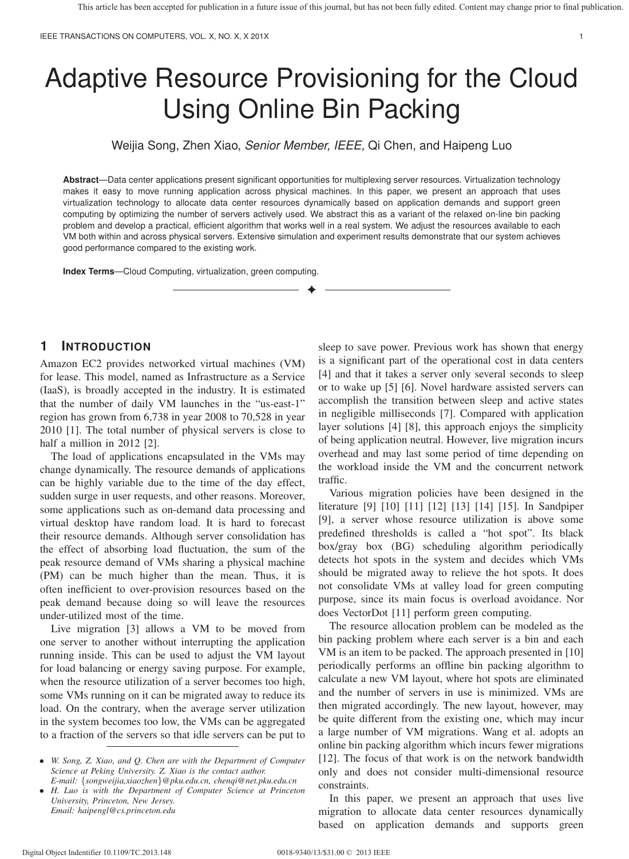# Adaptive Resource Provisioning for the Cloud Using Online Bin Packing

Weijia Song, Zhen Xiao, *Senior Member, IEEE,* Qi Chen, and Haipeng Luo

**Abstract**—Data center applications present significant opportunities for multiplexing server resources. Virtualization technology makes it easy to move running application across physical machines. In this paper, we present an approach that uses virtualization technology to allocate data center resources dynamically based on application demands and support green computing by optimizing the number of servers actively used. We abstract this as a variant of the relaxed on-line bin packing problem and develop a practical, efficient algorithm that works well in a real system. We adjust the resources available to each VM both within and across physical servers. Extensive simulation and experiment results demonstrate that our system achieves good performance compared to the existing work.

✦

**Index Terms**—Cloud Computing, virtualization, green computing.

## **1 INTRODUCTION**

Amazon EC2 provides networked virtual machines (VM) for lease. This model, named as Infrastructure as a Service (IaaS), is broadly accepted in the industry. It is estimated that the number of daily VM launches in the "us-east-1" region has grown from 6,738 in year 2008 to 70,528 in year 2010 [1]. The total number of physical servers is close to half a million in 2012 [2].

The load of applications encapsulated in the VMs may change dynamically. The resource demands of applications can be highly variable due to the time of the day effect, sudden surge in user requests, and other reasons. Moreover, some applications such as on-demand data processing and virtual desktop have random load. It is hard to forecast their resource demands. Although server consolidation has the effect of absorbing load fluctuation, the sum of the peak resource demand of VMs sharing a physical machine (PM) can be much higher than the mean. Thus, it is often inefficient to over-provision resources based on the peak demand because doing so will leave the resources under-utilized most of the time.

Live migration [3] allows a VM to be moved from one server to another without interrupting the application running inside. This can be used to adjust the VM layout for load balancing or energy saving purpose. For example, when the resource utilization of a server becomes too high, some VMs running on it can be migrated away to reduce its load. On the contrary, when the average server utilization in the system becomes too low, the VMs can be aggregated to a fraction of the servers so that idle servers can be put to

sleep to save power. Previous work has shown that energy is a significant part of the operational cost in data centers [4] and that it takes a server only several seconds to sleep or to wake up [5] [6]. Novel hardware assisted servers can accomplish the transition between sleep and active states in negligible milliseconds [7]. Compared with application layer solutions [4] [8], this approach enjoys the simplicity of being application neutral. However, live migration incurs overhead and may last some period of time depending on the workload inside the VM and the concurrent network traffic.

Various migration policies have been designed in the literature [9] [10] [11] [12] [13] [14] [15]. In Sandpiper [9], a server whose resource utilization is above some predefined thresholds is called a "hot spot". Its black box/gray box (BG) scheduling algorithm periodically detects hot spots in the system and decides which VMs should be migrated away to relieve the hot spots. It does not consolidate VMs at valley load for green computing purpose, since its main focus is overload avoidance. Nor does VectorDot [11] perform green computing.

The resource allocation problem can be modeled as the bin packing problem where each server is a bin and each VM is an item to be packed. The approach presented in [10] periodically performs an offline bin packing algorithm to calculate a new VM layout, where hot spots are eliminated and the number of servers in use is minimized. VMs are then migrated accordingly. The new layout, however, may be quite different from the existing one, which may incur a large number of VM migrations. Wang et al. adopts an online bin packing algorithm which incurs fewer migrations [12]. The focus of that work is on the network bandwidth only and does not consider multi-dimensional resource constraints.

In this paper, we present an approach that uses live migration to allocate data center resources dynamically based on application demands and supports green

<sup>•</sup> *W. Song, Z. Xiao, and Q. Chen are with the Department of Computer Science at Peking University. Z. Xiao is the contact author. E-mail:* {*songweijia,xiaozhen*}*@pku.edu.cn, chenqi@net.pku.edu.cn*

<sup>•</sup> *H. Luo is with the Department of Computer Science at Princeton University, Princeton, New Jersey. Email: haipengl@cs.princeton.edu*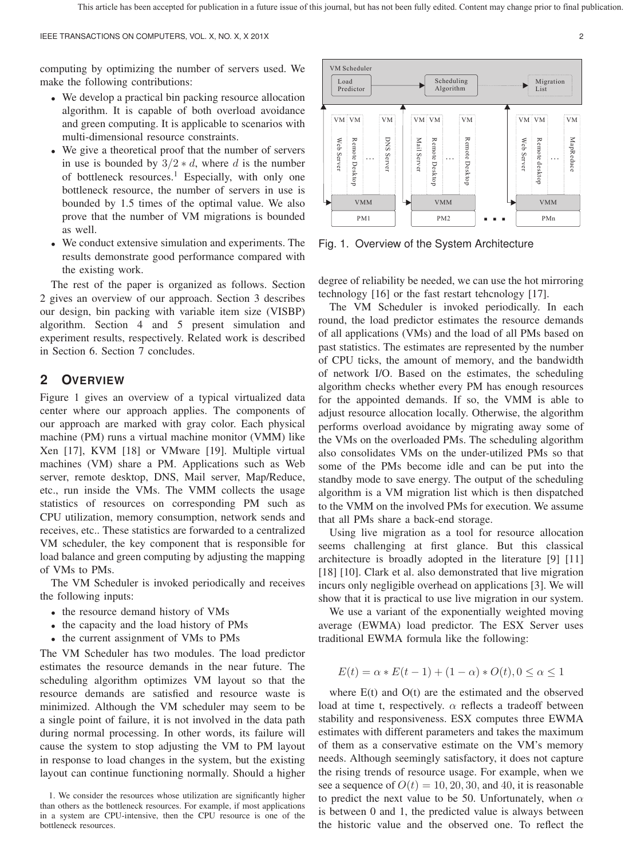computing by optimizing the number of servers used. We make the following contributions:

- We develop a practical bin packing resource allocation algorithm. It is capable of both overload avoidance and green computing. It is applicable to scenarios with multi-dimensional resource constraints.
- We give a theoretical proof that the number of servers in use is bounded by  $3/2 * d$ , where d is the number of bottleneck resources.<sup>1</sup> Especially, with only one bottleneck resource, the number of servers in use is bounded by 1.5 times of the optimal value. We also prove that the number of VM migrations is bounded as well.
- We conduct extensive simulation and experiments. The results demonstrate good performance compared with the existing work.

The rest of the paper is organized as follows. Section 2 gives an overview of our approach. Section 3 describes our design, bin packing with variable item size (VISBP) algorithm. Section 4 and 5 present simulation and experiment results, respectively. Related work is described in Section 6. Section 7 concludes.

# **2 OVERVIEW**

Figure 1 gives an overview of a typical virtualized data center where our approach applies. The components of our approach are marked with gray color. Each physical machine (PM) runs a virtual machine monitor (VMM) like Xen [17], KVM [18] or VMware [19]. Multiple virtual machines (VM) share a PM. Applications such as Web server, remote desktop, DNS, Mail server, Map/Reduce, etc., run inside the VMs. The VMM collects the usage statistics of resources on corresponding PM such as CPU utilization, memory consumption, network sends and receives, etc.. These statistics are forwarded to a centralized VM scheduler, the key component that is responsible for load balance and green computing by adjusting the mapping of VMs to PMs.

The VM Scheduler is invoked periodically and receives the following inputs:

- the resource demand history of VMs
- the capacity and the load history of PMs
- the current assignment of VMs to PMs

The VM Scheduler has two modules. The load predictor estimates the resource demands in the near future. The scheduling algorithm optimizes VM layout so that the resource demands are satisfied and resource waste is minimized. Although the VM scheduler may seem to be a single point of failure, it is not involved in the data path during normal processing. In other words, its failure will cause the system to stop adjusting the VM to PM layout in response to load changes in the system, but the existing layout can continue functioning normally. Should a higher



Fig. 1. Overview of the System Architecture

degree of reliability be needed, we can use the hot mirroring technology [16] or the fast restart tehcnology [17].

The VM Scheduler is invoked periodically. In each round, the load predictor estimates the resource demands of all applications (VMs) and the load of all PMs based on past statistics. The estimates are represented by the number of CPU ticks, the amount of memory, and the bandwidth of network I/O. Based on the estimates, the scheduling algorithm checks whether every PM has enough resources for the appointed demands. If so, the VMM is able to adjust resource allocation locally. Otherwise, the algorithm performs overload avoidance by migrating away some of the VMs on the overloaded PMs. The scheduling algorithm also consolidates VMs on the under-utilized PMs so that some of the PMs become idle and can be put into the standby mode to save energy. The output of the scheduling algorithm is a VM migration list which is then dispatched to the VMM on the involved PMs for execution. We assume that all PMs share a back-end storage.

Using live migration as a tool for resource allocation seems challenging at first glance. But this classical architecture is broadly adopted in the literature [9] [11] [18] [10]. Clark et al. also demonstrated that live migration incurs only negligible overhead on applications [3]. We will show that it is practical to use live migration in our system.

We use a variant of the exponentially weighted moving average (EWMA) load predictor. The ESX Server uses traditional EWMA formula like the following:

$$
E(t) = \alpha * E(t-1) + (1-\alpha) * O(t), 0 \le \alpha \le 1
$$

where  $E(t)$  and  $O(t)$  are the estimated and the observed load at time t, respectively.  $\alpha$  reflects a tradeoff between stability and responsiveness. ESX computes three EWMA estimates with different parameters and takes the maximum of them as a conservative estimate on the VM's memory needs. Although seemingly satisfactory, it does not capture the rising trends of resource usage. For example, when we see a sequence of  $O(t) = 10, 20, 30,$  and 40, it is reasonable to predict the next value to be 50. Unfortunately, when  $\alpha$ is between 0 and 1, the predicted value is always between the historic value and the observed one. To reflect the

<sup>1.</sup> We consider the resources whose utilization are significantly higher than others as the bottleneck resources. For example, if most applications in a system are CPU-intensive, then the CPU resource is one of the bottleneck resources.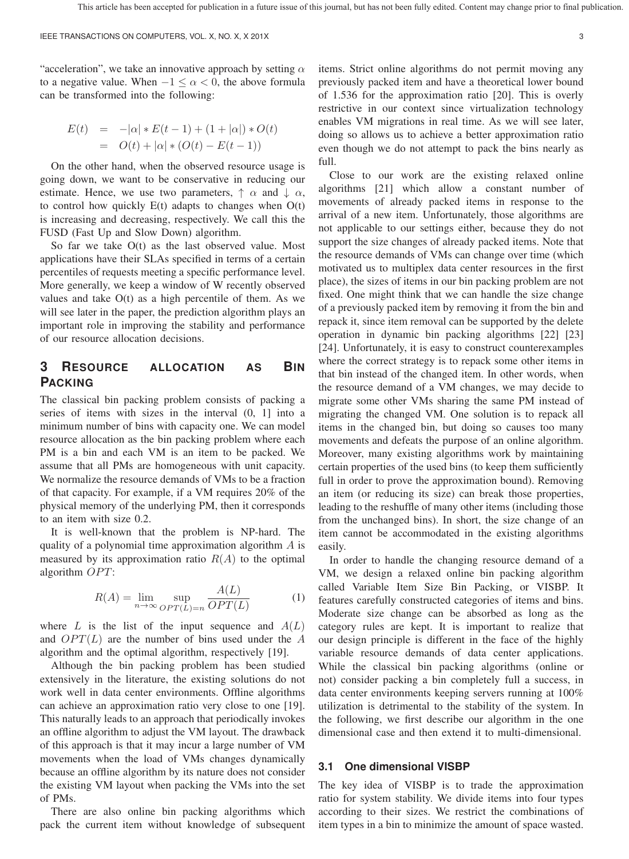"acceleration", we take an innovative approach by setting  $\alpha$ to a negative value. When  $-1 \leq \alpha < 0$ , the above formula can be transformed into the following:

$$
E(t) = -|\alpha| * E(t-1) + (1 + |\alpha|) * O(t)
$$
  
=  $O(t) + |\alpha| * (O(t) - E(t-1))$ 

On the other hand, when the observed resource usage is going down, we want to be conservative in reducing our estimate. Hence, we use two parameters,  $\uparrow \alpha$  and  $\downarrow \alpha$ , to control how quickly  $E(t)$  adapts to changes when  $O(t)$ is increasing and decreasing, respectively. We call this the FUSD (Fast Up and Slow Down) algorithm.

So far we take O(t) as the last observed value. Most applications have their SLAs specified in terms of a certain percentiles of requests meeting a specific performance level. More generally, we keep a window of W recently observed values and take  $O(t)$  as a high percentile of them. As we will see later in the paper, the prediction algorithm plays an important role in improving the stability and performance of our resource allocation decisions.

# **3 RESOURCE ALLOCATION AS BIN PACKING**

The classical bin packing problem consists of packing a series of items with sizes in the interval (0, 1] into a minimum number of bins with capacity one. We can model resource allocation as the bin packing problem where each PM is a bin and each VM is an item to be packed. We assume that all PMs are homogeneous with unit capacity. We normalize the resource demands of VMs to be a fraction of that capacity. For example, if a VM requires 20% of the physical memory of the underlying PM, then it corresponds to an item with size 0.2.

It is well-known that the problem is NP-hard. The quality of a polynomial time approximation algorithm  $A$  is measured by its approximation ratio  $R(A)$  to the optimal algorithm OPT:

$$
R(A) = \lim_{n \to \infty} \sup_{OPT(L) = n} \frac{A(L)}{OPT(L)}
$$
(1)

where L is the list of the input sequence and  $A(L)$ and  $OPT(L)$  are the number of bins used under the A algorithm and the optimal algorithm, respectively [19].

Although the bin packing problem has been studied extensively in the literature, the existing solutions do not work well in data center environments. Offline algorithms can achieve an approximation ratio very close to one [19]. This naturally leads to an approach that periodically invokes an offline algorithm to adjust the VM layout. The drawback of this approach is that it may incur a large number of VM movements when the load of VMs changes dynamically because an offline algorithm by its nature does not consider the existing VM layout when packing the VMs into the set of PMs.

There are also online bin packing algorithms which pack the current item without knowledge of subsequent

items. Strict online algorithms do not permit moving any previously packed item and have a theoretical lower bound of 1.536 for the approximation ratio [20]. This is overly restrictive in our context since virtualization technology enables VM migrations in real time. As we will see later, doing so allows us to achieve a better approximation ratio even though we do not attempt to pack the bins nearly as full.

Close to our work are the existing relaxed online algorithms [21] which allow a constant number of movements of already packed items in response to the arrival of a new item. Unfortunately, those algorithms are not applicable to our settings either, because they do not support the size changes of already packed items. Note that the resource demands of VMs can change over time (which motivated us to multiplex data center resources in the first place), the sizes of items in our bin packing problem are not fixed. One might think that we can handle the size change of a previously packed item by removing it from the bin and repack it, since item removal can be supported by the delete operation in dynamic bin packing algorithms [22] [23] [24]. Unfortunately, it is easy to construct counterexamples where the correct strategy is to repack some other items in that bin instead of the changed item. In other words, when the resource demand of a VM changes, we may decide to migrate some other VMs sharing the same PM instead of migrating the changed VM. One solution is to repack all items in the changed bin, but doing so causes too many movements and defeats the purpose of an online algorithm. Moreover, many existing algorithms work by maintaining certain properties of the used bins (to keep them sufficiently full in order to prove the approximation bound). Removing an item (or reducing its size) can break those properties, leading to the reshuffle of many other items (including those from the unchanged bins). In short, the size change of an item cannot be accommodated in the existing algorithms easily.

In order to handle the changing resource demand of a VM, we design a relaxed online bin packing algorithm called Variable Item Size Bin Packing, or VISBP. It features carefully constructed categories of items and bins. Moderate size change can be absorbed as long as the category rules are kept. It is important to realize that our design principle is different in the face of the highly variable resource demands of data center applications. While the classical bin packing algorithms (online or not) consider packing a bin completely full a success, in data center environments keeping servers running at 100% utilization is detrimental to the stability of the system. In the following, we first describe our algorithm in the one dimensional case and then extend it to multi-dimensional.

#### **3.1 One dimensional VISBP**

The key idea of VISBP is to trade the approximation ratio for system stability. We divide items into four types according to their sizes. We restrict the combinations of item types in a bin to minimize the amount of space wasted.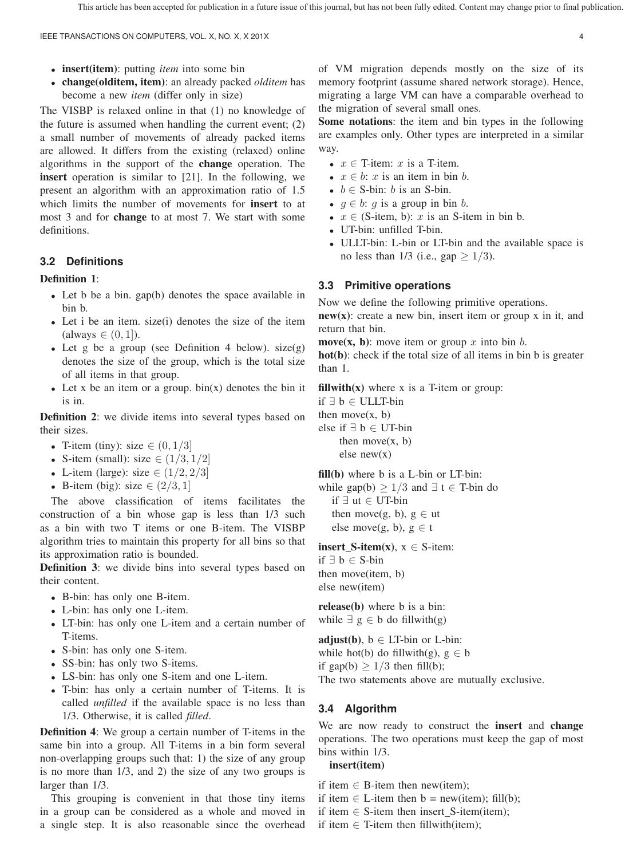IEEE TRANSACTIONS ON COMPUTERS, VOL. X, NO. X, X 201X 4

- insert(item): putting *item* into some bin
- change(olditem, item): an already packed *olditem* has become a new *item* (differ only in size)

The VISBP is relaxed online in that (1) no knowledge of the future is assumed when handling the current event; (2) a small number of movements of already packed items are allowed. It differs from the existing (relaxed) online algorithms in the support of the change operation. The insert operation is similar to [21]. In the following, we present an algorithm with an approximation ratio of 1.5 which limits the number of movements for insert to at most 3 and for change to at most 7. We start with some definitions.

## **3.2 Definitions**

#### Definition 1:

- Let b be a bin. gap(b) denotes the space available in bin b.
- Let i be an item. size(i) denotes the size of the item  $(always \in (0, 1])$ .
- Let g be a group (see Definition 4 below).  $size(g)$ denotes the size of the group, which is the total size of all items in that group.
- Let x be an item or a group.  $bin(x)$  denotes the bin it is in.

Definition 2: we divide items into several types based on their sizes.

- T-item (tiny): size  $\in (0, 1/3]$
- S-item (small): size  $\in (1/3, 1/2]$
- L-item (large): size  $\in (1/2, 2/3]$
- B-item (big): size  $\in (2/3, 1]$

The above classification of items facilitates the construction of a bin whose gap is less than 1/3 such as a bin with two T items or one B-item. The VISBP algorithm tries to maintain this property for all bins so that its approximation ratio is bounded.

Definition 3: we divide bins into several types based on their content.

- B-bin: has only one B-item.
- L-bin: has only one L-item.
- LT-bin: has only one L-item and a certain number of T-items.
- S-bin: has only one S-item.
- SS-bin: has only two S-items.
- LS-bin: has only one S-item and one L-item.
- T-bin: has only a certain number of T-items. It is called *unfilled* if the available space is no less than 1/3. Otherwise, it is called *filled*.

Definition 4: We group a certain number of T-items in the same bin into a group. All T-items in a bin form several non-overlapping groups such that: 1) the size of any group is no more than 1/3, and 2) the size of any two groups is larger than 1/3.

This grouping is convenient in that those tiny items in a group can be considered as a whole and moved in a single step. It is also reasonable since the overhead of VM migration depends mostly on the size of its memory footprint (assume shared network storage). Hence, migrating a large VM can have a comparable overhead to the migration of several small ones.

Some notations: the item and bin types in the following are examples only. Other types are interpreted in a similar way.

- $x \in$  T-item: x is a T-item.
- $x \in b$ : x is an item in bin b.
- $b \in S$ -bin: b is an S-bin.
- $q \in b$ : g is a group in bin b.
- $x \in$  (S-item, b): x is an S-item in bin b.
- UT-bin: unfilled T-bin.
- ULLT-bin: L-bin or LT-bin and the available space is no less than  $1/3$  (i.e., gap  $\geq 1/3$ ).

## **3.3 Primitive operations**

Now we define the following primitive operations.  $new(x)$ : create a new bin, insert item or group x in it, and return that bin.

**move(x, b)**: move item or group x into bin b.

hot(b): check if the total size of all items in bin b is greater than 1.

fillwith $(x)$  where x is a T-item or group:

if ∃ b ∈ ULLT-bin then move $(x, b)$ else if ∃ b ∈ UT-bin then move $(x, b)$ else new(x)

fill(b) where b is a L-bin or LT-bin:

while gap(b)  $\geq 1/3$  and  $\exists$  t  $\in$  T-bin do if ∃ ut ∈ UT-bin then move(g, b),  $g \in \mathfrak{u}$ t else move $(g, b)$ ,  $g \in t$ 

# insert\_S-item(x),  $x \in S$ -item:

if ∃ b ∈ S-bin then move(item, b) else new(item)

release(b) where b is a bin: while  $\exists g \in b$  do fillwith(g)

adjust(b),  $b \in LT$ -bin or L-bin: while hot(b) do fillwith(g),  $g \in b$ if gap(b)  $\geq 1/3$  then fill(b); The two statements above are mutually exclusive.

## **3.4 Algorithm**

We are now ready to construct the insert and change operations. The two operations must keep the gap of most bins within 1/3.

## insert(item)

if item  $\in$  B-item then new(item);

if item  $\in$  L-item then b = new(item); fill(b);

- if item  $\in$  S-item then insert\_S-item(item);
- if item  $\in$  T-item then fillwith(item);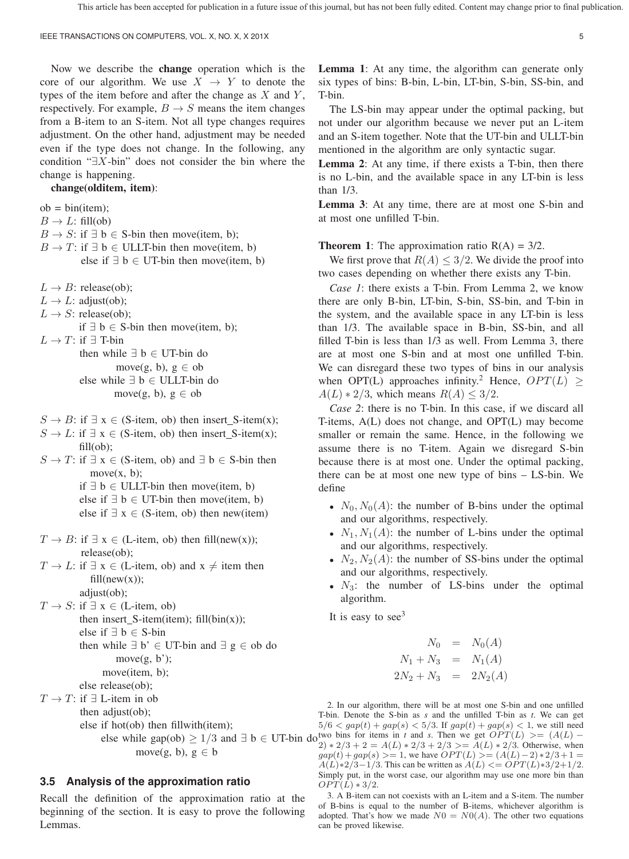Now we describe the change operation which is the core of our algorithm. We use  $X \rightarrow Y$  to denote the types of the item before and after the change as  $X$  and  $Y$ , respectively. For example,  $B \to S$  means the item changes from a B-item to an S-item. Not all type changes requires adjustment. On the other hand, adjustment may be needed even if the type does not change. In the following, any condition "∃X-bin" does not consider the bin where the change is happening.

## change(olditem, item):

 $ob = bin(item);$ 

- $B \to L$ : fill(ob)
- $B \to S$ : if  $\exists b \in S$ -bin then move(item, b);
- $B \to T$ : if  $\exists b \in \text{ULLT-bin}$  then move(item, b) else if  $∃ b ∈ UT-bin$  then move(item, b)
- $L \rightarrow B$ : release(ob);
- $L \rightarrow L$ : adjust(ob);
- $L \rightarrow S$ : release(ob);

if  $∃ b ∈ S-bin then move(item, b);$ 

 $L \rightarrow T$ : if  $\exists$  T-bin then while  $∃ b ∈ UT$ -bin do move $(g, b)$ ,  $g \in ob$ else while ∃ b ∈ ULLT-bin do

$$
move(g,\,b),\,g\,\in\,ob
$$

 $S \to B$ : if  $\exists x \in (S$ -item, ob) then insert S-item(x);

 $S \to L$ : if  $\exists x \in (S$ -item, ob) then insert\_S-item(x); fill(ob);

 $S \to T$ : if  $\exists x \in (S$ -item, ob) and  $\exists b \in S$ -bin then move $(x, b)$ ; if ∃ b ∈ ULLT-bin then move(item, b) else if  $∃ b ∈ UT$ -bin then move(item, b)

else if  $∃ x ∈ (S-item, ob)$  then new(item)

- $T \to B$ : if  $\exists x \in$  (L-item, ob) then fill(new(x)); release(ob);
- $T \to L$ : if  $\exists x \in (L$ -item, ob) and  $x \neq$  item then<br>fill(new(x)):  $fill(new(x))$ ; adjust(ob);
- $T \to S$ : if  $\exists x \in$  (L-item, ob) then insert S-item(item);  $\text{fill}(\text{bin}(x))$ ; else if ∃ b ∈ S-bin then while  $\exists$  b'  $\in$  UT-bin and  $\exists$  g  $\in$  ob do move $(g, b')$ ; move(item, b); else release(ob);

 $T \to T$ : if ∃ L-item in ob then adjust(ob);

else if hot(ob) then fillwith(item);

move $(g, b), g \in b$ 

## **3.5 Analysis of the approximation ratio**

Recall the definition of the approximation ratio at the beginning of the section. It is easy to prove the following Lemmas.

Lemma 1: At any time, the algorithm can generate only six types of bins: B-bin, L-bin, LT-bin, S-bin, SS-bin, and T-bin.

The LS-bin may appear under the optimal packing, but not under our algorithm because we never put an L-item and an S-item together. Note that the UT-bin and ULLT-bin mentioned in the algorithm are only syntactic sugar.

Lemma 2: At any time, if there exists a T-bin, then there is no L-bin, and the available space in any LT-bin is less than 1/3.

Lemma 3: At any time, there are at most one S-bin and at most one unfilled T-bin.

**Theorem 1:** The approximation ratio  $R(A) = 3/2$ .

We first prove that  $R(A) \leq 3/2$ . We divide the proof into two cases depending on whether there exists any T-bin.

*Case 1*: there exists a T-bin. From Lemma 2, we know there are only B-bin, LT-bin, S-bin, SS-bin, and T-bin in the system, and the available space in any LT-bin is less than 1/3. The available space in B-bin, SS-bin, and all filled T-bin is less than 1/3 as well. From Lemma 3, there are at most one S-bin and at most one unfilled T-bin. We can disregard these two types of bins in our analysis when OPT(L) approaches infinity.<sup>2</sup> Hence,  $OPT(L) \geq$  $A(L) * 2/3$ , which means  $R(A) \leq 3/2$ .

*Case 2*: there is no T-bin. In this case, if we discard all T-items, A(L) does not change, and OPT(L) may become smaller or remain the same. Hence, in the following we assume there is no T-item. Again we disregard S-bin because there is at most one. Under the optimal packing, there can be at most one new type of bins – LS-bin. We define

- $N_0$ ,  $N_0(A)$ : the number of B-bins under the optimal and our algorithms, respectively.
- $N_1, N_1(A)$ : the number of L-bins under the optimal and our algorithms, respectively.
- $N_2$ ,  $N_2(A)$ : the number of SS-bins under the optimal and our algorithms, respectively.
- $N_3$ : the number of LS-bins under the optimal algorithm.

It is easy to see<sup>3</sup>

$$
N_0 = N_0(A)
$$
  
\n
$$
N_1 + N_3 = N_1(A)
$$
  
\n
$$
2N_2 + N_3 = 2N_2(A)
$$

else while gap(ob)  $\geq 1/3$  and  $\exists$  b  $\in$  UT-bin do<sup>two bins</sup> for items in *t* and *s*. Then we get  $OPT(L)$   $\geq$  =  $(A(L)$  –  $\max(\sigma, h)$   $\alpha \in h$ 2. In our algorithm, there will be at most one S-bin and one unfilled T-bin. Denote the S-bin as *s* and the unfilled T-bin as *t*. We can get  $5/6 < gap(t) + gap(s) < 5/3$ . If  $gap(t) + gap(s) < 1$ , we still need  $2) * 2/3 + 2 = A(L) * 2/3 + 2/3 > = A(L) * 2/3$ . Otherwise, when  $\alpha n(t) + \alpha n(s) > = 1$  we have  $OPT(L) > = (A(L) - 2) * 2/3 + 1 =$  $gap(t) + gap(s) >= 1$ , we have  $OPT(L) >= (A(L) - 2) * 2/3 + 1 =$  $A(L)*2/3-1/3$ . This can be written as  $A(L) < = \hat{OPT}(L)*3/2+1/2$ . Simply put, in the worst case, our algorithm may use one more bin than  $OPT(L) * 3/2.$ 

> 3. A B-item can not coexists with an L-item and a S-item. The number of B-bins is equal to the number of B-items, whichever algorithm is adopted. That's how we made  $N0 = N0(A)$ . The other two equations can be proved likewise.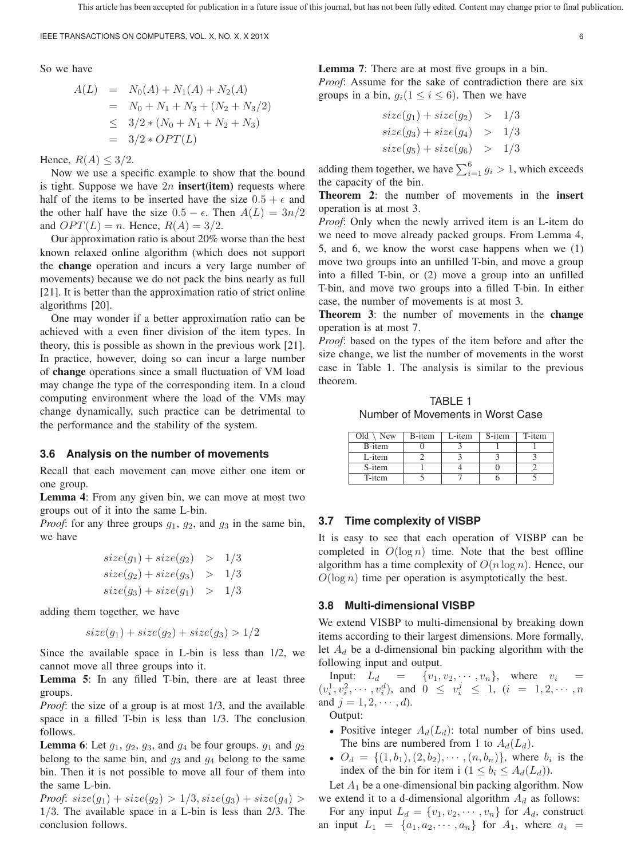IEEE TRANSACTIONS ON COMPUTERS, VOL. X, NO. X, X 201X 6

So we have

$$
A(L) = N_0(A) + N_1(A) + N_2(A)
$$
  
=  $N_0 + N_1 + N_3 + (N_2 + N_3/2)$   
 $\leq 3/2 * (N_0 + N_1 + N_2 + N_3)$   
=  $3/2 * OPT(L)$ 

Hence,  $R(A) \leq 3/2$ .

Now we use a specific example to show that the bound is tight. Suppose we have  $2n$  insert(item) requests where half of the items to be inserted have the size  $0.5 + \epsilon$  and the other half have the size  $0.5 - \epsilon$ . Then  $A(L) = 3n/2$ and  $OPT(L) = n$ . Hence,  $R(A) = 3/2$ .

Our approximation ratio is about 20% worse than the best known relaxed online algorithm (which does not support the change operation and incurs a very large number of movements) because we do not pack the bins nearly as full [21]. It is better than the approximation ratio of strict online algorithms [20].

One may wonder if a better approximation ratio can be achieved with a even finer division of the item types. In theory, this is possible as shown in the previous work [21]. In practice, however, doing so can incur a large number of change operations since a small fluctuation of VM load may change the type of the corresponding item. In a cloud computing environment where the load of the VMs may change dynamically, such practice can be detrimental to the performance and the stability of the system.

## **3.6 Analysis on the number of movements**

Recall that each movement can move either one item or one group.

Lemma 4: From any given bin, we can move at most two groups out of it into the same L-bin.

*Proof*: for any three groups  $g_1$ ,  $g_2$ , and  $g_3$  in the same bin, we have

$$
size(g_1) + size(g_2) > 1/3
$$
  
\n
$$
size(g_2) + size(g_3) > 1/3
$$
  
\n
$$
size(g_3) + size(g_1) > 1/3
$$

adding them together, we have

$$
size(g_1) + size(g_2) + size(g_3) > 1/2
$$

Since the available space in L-bin is less than 1/2, we cannot move all three groups into it.

Lemma 5: In any filled T-bin, there are at least three groups.

*Proof*: the size of a group is at most 1/3, and the available space in a filled T-bin is less than 1/3. The conclusion follows.

**Lemma 6:** Let  $g_1$ ,  $g_2$ ,  $g_3$ , and  $g_4$  be four groups.  $g_1$  and  $g_2$ belong to the same bin, and  $g_3$  and  $g_4$  belong to the same bin. Then it is not possible to move all four of them into the same L-bin.

*Proof:*  $size(g_1) + size(g_2) > 1/3, size(g_3) + size(g_4) > 1/3$ 1/3. The available space in a L-bin is less than 2/3. The conclusion follows.

Lemma 7: There are at most five groups in a bin.

*Proof*: Assume for the sake of contradiction there are six groups in a bin,  $g_i(1 \leq i \leq 6)$ . Then we have

$$
size(g_1) + size(g_2) > 1/3
$$
  
\n
$$
size(g_3) + size(g_4) > 1/3
$$
  
\n
$$
size(g_5) + size(g_6) > 1/3
$$

adding them together, we have  $\sum_{i=1}^{6} g_i > 1$ , which exceeds the canacity of the bin the capacity of the bin.

Theorem 2: the number of movements in the insert operation is at most 3.

*Proof*: Only when the newly arrived item is an L-item do we need to move already packed groups. From Lemma 4, 5, and 6, we know the worst case happens when we (1) move two groups into an unfilled T-bin, and move a group into a filled T-bin, or (2) move a group into an unfilled T-bin, and move two groups into a filled T-bin. In either case, the number of movements is at most 3.

Theorem 3: the number of movements in the change operation is at most 7.

*Proof*: based on the types of the item before and after the size change, we list the number of movements in the worst case in Table 1. The analysis is similar to the previous theorem.

TABLE 1 Number of Movements in Worst Case

| Old<br>New | B-item | L-item | S-item | T-item |
|------------|--------|--------|--------|--------|
| B-item     |        |        |        |        |
| L-item     |        |        |        |        |
| S-item     |        |        |        |        |
| T-item     |        |        |        |        |

## **3.7 Time complexity of VISBP**

It is easy to see that each operation of VISBP can be completed in  $O(\log n)$  time. Note that the best offline algorithm has a time complexity of  $O(n \log n)$ . Hence, our  $O(\log n)$  time per operation is asymptotically the best.

#### **3.8 Multi-dimensional VISBP**

We extend VISBP to multi-dimensional by breaking down items according to their largest dimensions. More formally, let  $A_d$  be a d-dimensional bin packing algorithm with the following input and output.

Input:  $L_d = \{v_1, v_2, \dots, v_n\}$ , where  $v_i =$  $(v_i^1, v_i^2, \dots, v_i^d)$ , and  $0 \le v_i^j \le 1$ ,  $(i = 1, 2, \dots, n$ and  $j = 1, 2, \dots, d$ .

Output:

- Positive integer  $A_d(L_d)$ : total number of bins used. The bins are numbered from 1 to  $A_d(L_d)$ .
- $O_d = \{(1, b_1), (2, b_2), \cdots, (n, b_n)\}\text{, where } b_i \text{ is the }$ index of the bin for item i  $(1 \leq b_i \leq A_d(L_d)).$

Let  $A_1$  be a one-dimensional bin packing algorithm. Now we extend it to a d-dimensional algorithm  $A_d$  as follows:

For any input  $L_d = \{v_1, v_2, \dots, v_n\}$  for  $A_d$ , construct an input  $L_1 = \{a_1, a_2, \dots, a_n\}$  for  $A_1$ , where  $a_i =$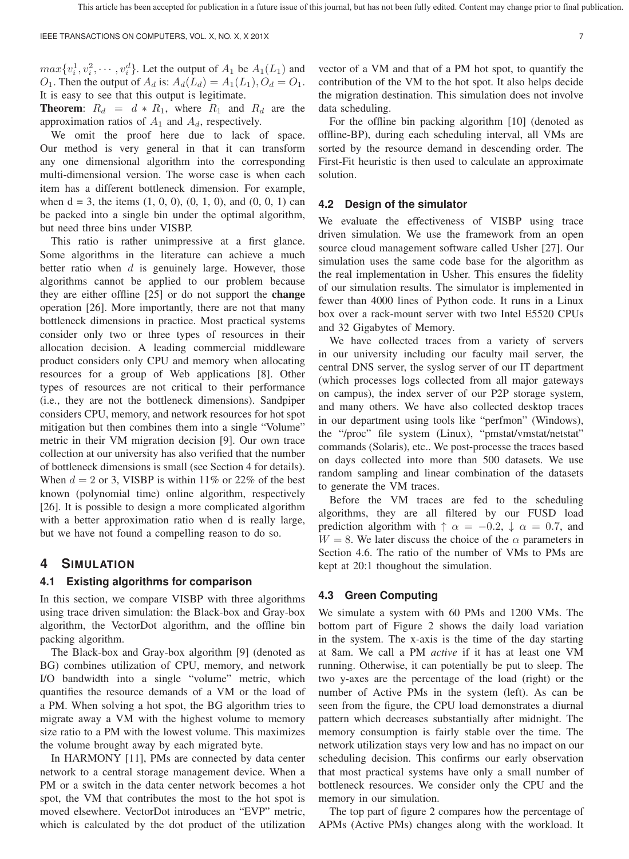$max\{v_i^1, v_i^2, \cdots, v_i^d\}$ . Let the output of  $A_1$  be  $A_1(L_1)$  and  $\Omega_1$ . Then the output of  $A_1$  is:  $A_1(L_1) = A_1(L_1)$   $\Omega_1 = \Omega_1$ .  $O_1$ . Then the output of  $A_d$  is:  $A_d(L_d) = A_1(L_1), O_d = O_1$ . It is easy to see that this output is legitimate.

**Theorem:**  $R_d = d * R_1$ , where  $R_1$  and  $R_d$  are the approximation ratios of  $A_1$  and  $A_d$ , respectively.

We omit the proof here due to lack of space. Our method is very general in that it can transform any one dimensional algorithm into the corresponding multi-dimensional version. The worse case is when each item has a different bottleneck dimension. For example, when  $d = 3$ , the items  $(1, 0, 0), (0, 1, 0),$  and  $(0, 0, 1)$  can be packed into a single bin under the optimal algorithm, but need three bins under VISBP.

This ratio is rather unimpressive at a first glance. Some algorithms in the literature can achieve a much better ratio when  $d$  is genuinely large. However, those algorithms cannot be applied to our problem because they are either offline [25] or do not support the change operation [26]. More importantly, there are not that many bottleneck dimensions in practice. Most practical systems consider only two or three types of resources in their allocation decision. A leading commercial middleware product considers only CPU and memory when allocating resources for a group of Web applications [8]. Other types of resources are not critical to their performance (i.e., they are not the bottleneck dimensions). Sandpiper considers CPU, memory, and network resources for hot spot mitigation but then combines them into a single "Volume" metric in their VM migration decision [9]. Our own trace collection at our university has also verified that the number of bottleneck dimensions is small (see Section 4 for details). When  $d = 2$  or 3, VISBP is within 11% or 22% of the best known (polynomial time) online algorithm, respectively [26]. It is possible to design a more complicated algorithm with a better approximation ratio when d is really large, but we have not found a compelling reason to do so.

## **4 SIMULATION**

#### **4.1 Existing algorithms for comparison**

In this section, we compare VISBP with three algorithms using trace driven simulation: the Black-box and Gray-box algorithm, the VectorDot algorithm, and the offline bin packing algorithm.

The Black-box and Gray-box algorithm [9] (denoted as BG) combines utilization of CPU, memory, and network I/O bandwidth into a single "volume" metric, which quantifies the resource demands of a VM or the load of a PM. When solving a hot spot, the BG algorithm tries to migrate away a VM with the highest volume to memory size ratio to a PM with the lowest volume. This maximizes the volume brought away by each migrated byte.

In HARMONY [11], PMs are connected by data center network to a central storage management device. When a PM or a switch in the data center network becomes a hot spot, the VM that contributes the most to the hot spot is moved elsewhere. VectorDot introduces an "EVP" metric, which is calculated by the dot product of the utilization

vector of a VM and that of a PM hot spot, to quantify the contribution of the VM to the hot spot. It also helps decide the migration destination. This simulation does not involve data scheduling.

For the offline bin packing algorithm [10] (denoted as offline-BP), during each scheduling interval, all VMs are sorted by the resource demand in descending order. The First-Fit heuristic is then used to calculate an approximate solution.

#### **4.2 Design of the simulator**

We evaluate the effectiveness of VISBP using trace driven simulation. We use the framework from an open source cloud management software called Usher [27]. Our simulation uses the same code base for the algorithm as the real implementation in Usher. This ensures the fidelity of our simulation results. The simulator is implemented in fewer than 4000 lines of Python code. It runs in a Linux box over a rack-mount server with two Intel E5520 CPUs and 32 Gigabytes of Memory.

We have collected traces from a variety of servers in our university including our faculty mail server, the central DNS server, the syslog server of our IT department (which processes logs collected from all major gateways on campus), the index server of our P2P storage system, and many others. We have also collected desktop traces in our department using tools like "perfmon" (Windows), the "/proc" file system (Linux), "pmstat/vmstat/netstat" commands (Solaris), etc.. We post-processe the traces based on days collected into more than 500 datasets. We use random sampling and linear combination of the datasets to generate the VM traces.

Before the VM traces are fed to the scheduling algorithms, they are all filtered by our FUSD load prediction algorithm with  $\uparrow \alpha = -0.2$ ,  $\downarrow \alpha = 0.7$ , and  $W = 8$ . We later discuss the choice of the  $\alpha$  parameters in Section 4.6. The ratio of the number of VMs to PMs are kept at 20:1 thoughout the simulation.

## **4.3 Green Computing**

We simulate a system with 60 PMs and 1200 VMs. The bottom part of Figure 2 shows the daily load variation in the system. The x-axis is the time of the day starting at 8am. We call a PM *active* if it has at least one VM running. Otherwise, it can potentially be put to sleep. The two y-axes are the percentage of the load (right) or the number of Active PMs in the system (left). As can be seen from the figure, the CPU load demonstrates a diurnal pattern which decreases substantially after midnight. The memory consumption is fairly stable over the time. The network utilization stays very low and has no impact on our scheduling decision. This confirms our early observation that most practical systems have only a small number of bottleneck resources. We consider only the CPU and the memory in our simulation.

The top part of figure 2 compares how the percentage of APMs (Active PMs) changes along with the workload. It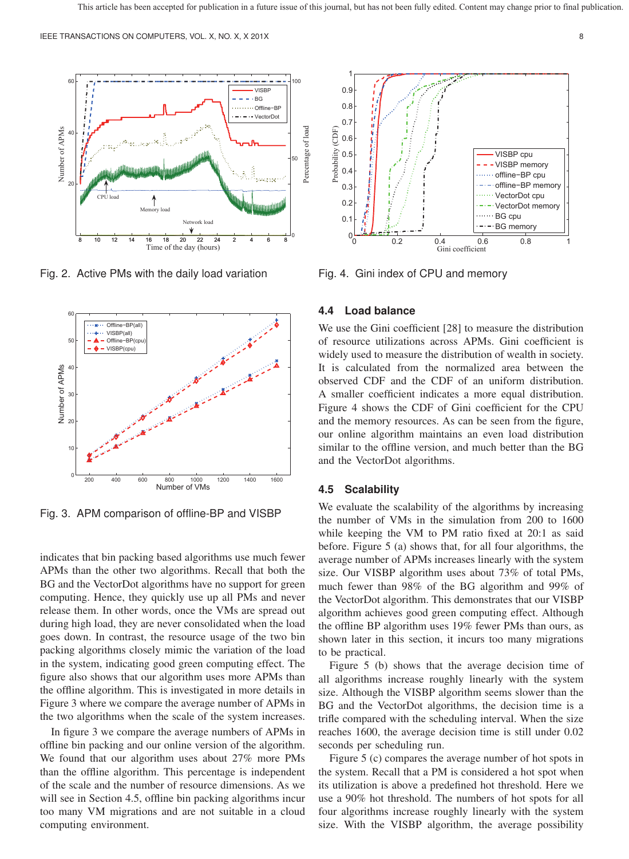

Fig. 2. Active PMs with the daily load variation



Fig. 3. APM comparison of offline-BP and VISBP

indicates that bin packing based algorithms use much fewer APMs than the other two algorithms. Recall that both the BG and the VectorDot algorithms have no support for green computing. Hence, they quickly use up all PMs and never release them. In other words, once the VMs are spread out during high load, they are never consolidated when the load goes down. In contrast, the resource usage of the two bin packing algorithms closely mimic the variation of the load in the system, indicating good green computing effect. The figure also shows that our algorithm uses more APMs than the offline algorithm. This is investigated in more details in Figure 3 where we compare the average number of APMs in the two algorithms when the scale of the system increases.

In figure 3 we compare the average numbers of APMs in offline bin packing and our online version of the algorithm. We found that our algorithm uses about 27% more PMs than the offline algorithm. This percentage is independent of the scale and the number of resource dimensions. As we will see in Section 4.5, offline bin packing algorithms incur too many VM migrations and are not suitable in a cloud computing environment.



Fig. 4. Gini index of CPU and memory

#### **4.4 Load balance**

We use the Gini coefficient [28] to measure the distribution of resource utilizations across APMs. Gini coefficient is widely used to measure the distribution of wealth in society. It is calculated from the normalized area between the observed CDF and the CDF of an uniform distribution. A smaller coefficient indicates a more equal distribution. Figure 4 shows the CDF of Gini coefficient for the CPU and the memory resources. As can be seen from the figure, our online algorithm maintains an even load distribution similar to the offline version, and much better than the BG and the VectorDot algorithms.

## **4.5 Scalability**

We evaluate the scalability of the algorithms by increasing the number of VMs in the simulation from 200 to 1600 while keeping the VM to PM ratio fixed at 20:1 as said before. Figure 5 (a) shows that, for all four algorithms, the average number of APMs increases linearly with the system size. Our VISBP algorithm uses about 73% of total PMs, much fewer than 98% of the BG algorithm and 99% of the VectorDot algorithm. This demonstrates that our VISBP algorithm achieves good green computing effect. Although the offline BP algorithm uses 19% fewer PMs than ours, as shown later in this section, it incurs too many migrations to be practical.

Figure 5 (b) shows that the average decision time of all algorithms increase roughly linearly with the system size. Although the VISBP algorithm seems slower than the BG and the VectorDot algorithms, the decision time is a trifle compared with the scheduling interval. When the size reaches 1600, the average decision time is still under 0.02 seconds per scheduling run.

Figure 5 (c) compares the average number of hot spots in the system. Recall that a PM is considered a hot spot when its utilization is above a predefined hot threshold. Here we use a 90% hot threshold. The numbers of hot spots for all four algorithms increase roughly linearly with the system size. With the VISBP algorithm, the average possibility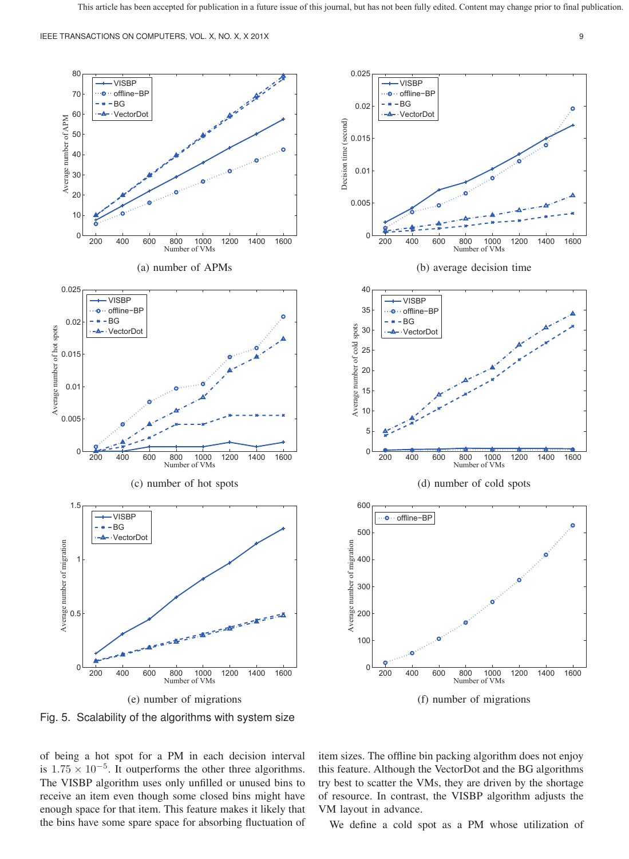

Fig. 5. Scalability of the algorithms with system size

of being a hot spot for a PM in each decision interval is  $1.75 \times 10^{-5}$ . It outperforms the other three algorithms. The VISBP algorithm uses only unfilled or unused bins to receive an item even though some closed bins might have enough space for that item. This feature makes it likely that the bins have some spare space for absorbing fluctuation of item sizes. The offline bin packing algorithm does not enjoy this feature. Although the VectorDot and the BG algorithms try best to scatter the VMs, they are driven by the shortage of resource. In contrast, the VISBP algorithm adjusts the VM layout in advance.

We define a cold spot as a PM whose utilization of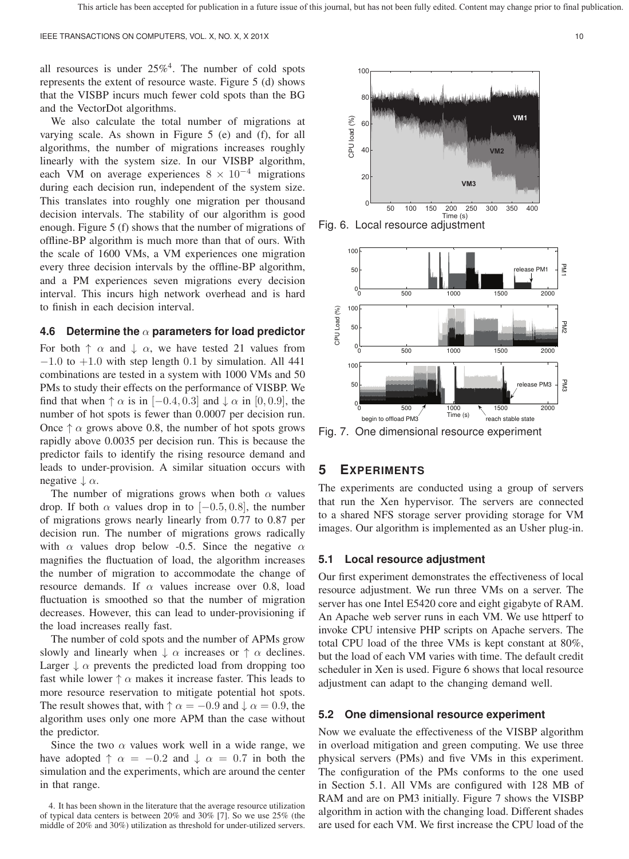all resources is under  $25\%$ <sup>4</sup>. The number of cold spots represents the extent of resource waste. Figure 5 (d) shows that the VISBP incurs much fewer cold spots than the BG and the VectorDot algorithms.

We also calculate the total number of migrations at varying scale. As shown in Figure 5 (e) and (f), for all algorithms, the number of migrations increases roughly linearly with the system size. In our VISBP algorithm, each VM on average experiences  $8 \times 10^{-4}$  migrations during each decision run, independent of the system size. This translates into roughly one migration per thousand decision intervals. The stability of our algorithm is good enough. Figure 5 (f) shows that the number of migrations of offline-BP algorithm is much more than that of ours. With the scale of 1600 VMs, a VM experiences one migration every three decision intervals by the offline-BP algorithm, and a PM experiences seven migrations every decision interval. This incurs high network overhead and is hard to finish in each decision interval.

## **4.6 Determine the** α **parameters for load predictor**

For both  $\uparrow \alpha$  and  $\downarrow \alpha$ , we have tested 21 values from  $-1.0$  to  $+1.0$  with step length 0.1 by simulation. All 441 combinations are tested in a system with 1000 VMs and 50 PMs to study their effects on the performance of VISBP. We find that when  $\uparrow \alpha$  is in [-0.4, 0.3] and  $\downarrow \alpha$  in [0, 0.9], the number of hot spots is fewer than 0.0007 per decision run. Once  $\uparrow \alpha$  grows above 0.8, the number of hot spots grows rapidly above 0.0035 per decision run. This is because the predictor fails to identify the rising resource demand and leads to under-provision. A similar situation occurs with negative  $\downarrow \alpha$ .

The number of migrations grows when both  $\alpha$  values drop. If both  $\alpha$  values drop in to [-0.5, 0.8], the number of migrations grows nearly linearly from 0.77 to 0.87 per decision run. The number of migrations grows radically with  $\alpha$  values drop below -0.5. Since the negative  $\alpha$ magnifies the fluctuation of load, the algorithm increases the number of migration to accommodate the change of resource demands. If  $\alpha$  values increase over 0.8, load fluctuation is smoothed so that the number of migration decreases. However, this can lead to under-provisioning if the load increases really fast.

The number of cold spots and the number of APMs grow slowly and linearly when  $\downarrow \alpha$  increases or  $\uparrow \alpha$  declines. Larger  $\downarrow \alpha$  prevents the predicted load from dropping too fast while lower  $\uparrow \alpha$  makes it increase faster. This leads to more resource reservation to mitigate potential hot spots. The result showes that, with  $\uparrow \alpha = -0.9$  and  $\downarrow \alpha = 0.9$ , the algorithm uses only one more APM than the case without the predictor.

Since the two  $\alpha$  values work well in a wide range, we have adopted  $\uparrow \alpha = -0.2$  and  $\downarrow \alpha = 0.7$  in both the simulation and the experiments, which are around the center in that range.

4. It has been shown in the literature that the average resource utilization of typical data centers is between 20% and 30% [7]. So we use 25% (the middle of 20% and 30%) utilization as threshold for under-utilized servers.



Fig. 6. Local resource adjustment



Fig. 7. One dimensional resource experiment

# **5 EXPERIMENTS**

The experiments are conducted using a group of servers that run the Xen hypervisor. The servers are connected to a shared NFS storage server providing storage for VM images. Our algorithm is implemented as an Usher plug-in.

## **5.1 Local resource adjustment**

Our first experiment demonstrates the effectiveness of local resource adjustment. We run three VMs on a server. The server has one Intel E5420 core and eight gigabyte of RAM. An Apache web server runs in each VM. We use httperf to invoke CPU intensive PHP scripts on Apache servers. The total CPU load of the three VMs is kept constant at 80%, but the load of each VM varies with time. The default credit scheduler in Xen is used. Figure 6 shows that local resource adjustment can adapt to the changing demand well.

#### **5.2 One dimensional resource experiment**

Now we evaluate the effectiveness of the VISBP algorithm in overload mitigation and green computing. We use three physical servers (PMs) and five VMs in this experiment. The configuration of the PMs conforms to the one used in Section 5.1. All VMs are configured with 128 MB of RAM and are on PM3 initially. Figure 7 shows the VISBP algorithm in action with the changing load. Different shades are used for each VM. We first increase the CPU load of the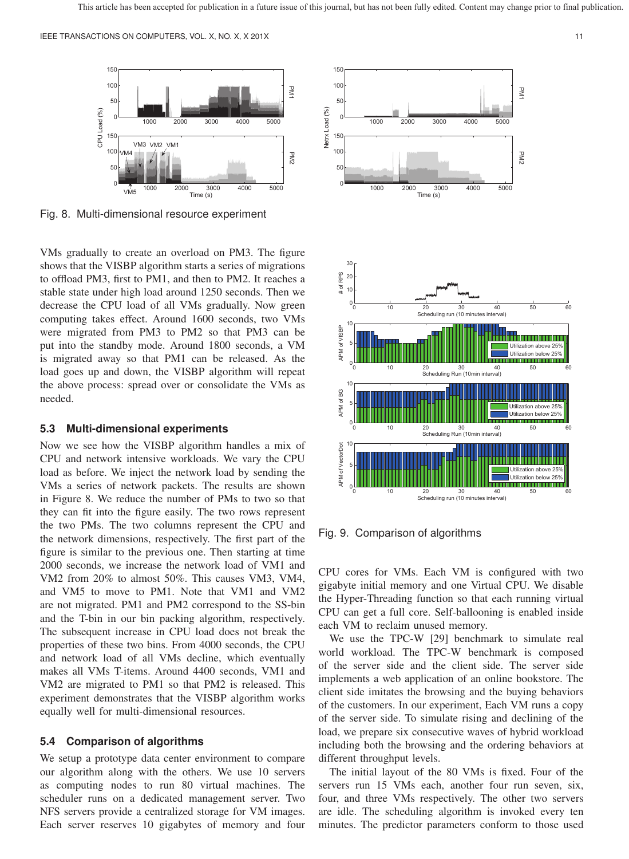

Fig. 8. Multi-dimensional resource experiment

VMs gradually to create an overload on PM3. The figure shows that the VISBP algorithm starts a series of migrations to offload PM3, first to PM1, and then to PM2. It reaches a stable state under high load around 1250 seconds. Then we decrease the CPU load of all VMs gradually. Now green computing takes effect. Around 1600 seconds, two VMs were migrated from PM3 to PM2 so that PM3 can be put into the standby mode. Around 1800 seconds, a VM is migrated away so that PM1 can be released. As the load goes up and down, the VISBP algorithm will repeat the above process: spread over or consolidate the VMs as needed.

#### **5.3 Multi-dimensional experiments**

Now we see how the VISBP algorithm handles a mix of CPU and network intensive workloads. We vary the CPU load as before. We inject the network load by sending the VMs a series of network packets. The results are shown in Figure 8. We reduce the number of PMs to two so that they can fit into the figure easily. The two rows represent the two PMs. The two columns represent the CPU and the network dimensions, respectively. The first part of the figure is similar to the previous one. Then starting at time 2000 seconds, we increase the network load of VM1 and VM2 from 20% to almost 50%. This causes VM3, VM4, and VM5 to move to PM1. Note that VM1 and VM2 are not migrated. PM1 and PM2 correspond to the SS-bin and the T-bin in our bin packing algorithm, respectively. The subsequent increase in CPU load does not break the properties of these two bins. From 4000 seconds, the CPU and network load of all VMs decline, which eventually makes all VMs T-items. Around 4400 seconds, VM1 and VM2 are migrated to PM1 so that PM2 is released. This experiment demonstrates that the VISBP algorithm works equally well for multi-dimensional resources.

## **5.4 Comparison of algorithms**

We setup a prototype data center environment to compare our algorithm along with the others. We use 10 servers as computing nodes to run 80 virtual machines. The scheduler runs on a dedicated management server. Two NFS servers provide a centralized storage for VM images. Each server reserves 10 gigabytes of memory and four



Fig. 9. Comparison of algorithms

CPU cores for VMs. Each VM is configured with two gigabyte initial memory and one Virtual CPU. We disable the Hyper-Threading function so that each running virtual CPU can get a full core. Self-ballooning is enabled inside each VM to reclaim unused memory.

We use the TPC-W [29] benchmark to simulate real world workload. The TPC-W benchmark is composed of the server side and the client side. The server side implements a web application of an online bookstore. The client side imitates the browsing and the buying behaviors of the customers. In our experiment, Each VM runs a copy of the server side. To simulate rising and declining of the load, we prepare six consecutive waves of hybrid workload including both the browsing and the ordering behaviors at different throughput levels.

The initial layout of the 80 VMs is fixed. Four of the servers run 15 VMs each, another four run seven, six, four, and three VMs respectively. The other two servers are idle. The scheduling algorithm is invoked every ten minutes. The predictor parameters conform to those used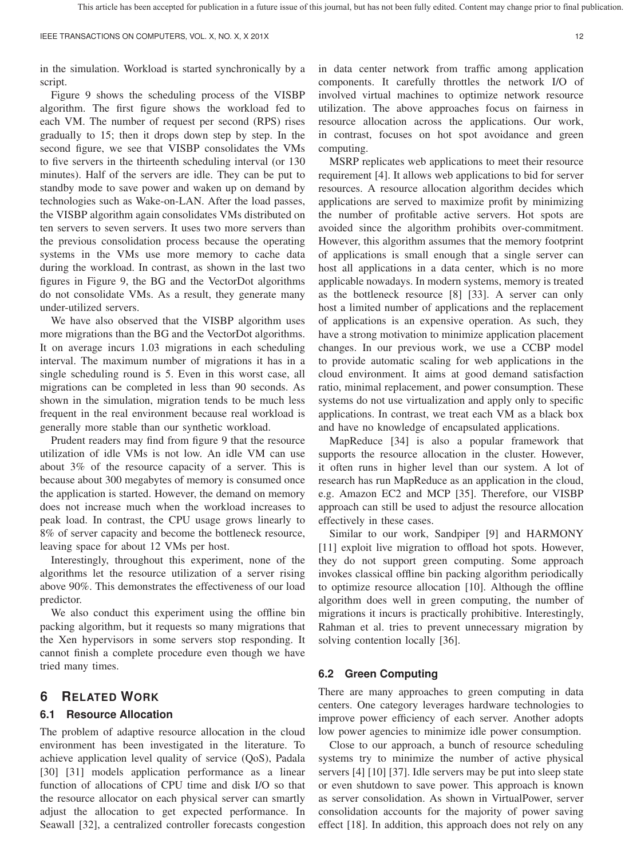in the simulation. Workload is started synchronically by a script.

Figure 9 shows the scheduling process of the VISBP algorithm. The first figure shows the workload fed to each VM. The number of request per second (RPS) rises gradually to 15; then it drops down step by step. In the second figure, we see that VISBP consolidates the VMs to five servers in the thirteenth scheduling interval (or 130 minutes). Half of the servers are idle. They can be put to standby mode to save power and waken up on demand by technologies such as Wake-on-LAN. After the load passes, the VISBP algorithm again consolidates VMs distributed on ten servers to seven servers. It uses two more servers than the previous consolidation process because the operating systems in the VMs use more memory to cache data during the workload. In contrast, as shown in the last two figures in Figure 9, the BG and the VectorDot algorithms do not consolidate VMs. As a result, they generate many under-utilized servers.

We have also observed that the VISBP algorithm uses more migrations than the BG and the VectorDot algorithms. It on average incurs 1.03 migrations in each scheduling interval. The maximum number of migrations it has in a single scheduling round is 5. Even in this worst case, all migrations can be completed in less than 90 seconds. As shown in the simulation, migration tends to be much less frequent in the real environment because real workload is generally more stable than our synthetic workload.

Prudent readers may find from figure 9 that the resource utilization of idle VMs is not low. An idle VM can use about 3% of the resource capacity of a server. This is because about 300 megabytes of memory is consumed once the application is started. However, the demand on memory does not increase much when the workload increases to peak load. In contrast, the CPU usage grows linearly to 8% of server capacity and become the bottleneck resource, leaving space for about 12 VMs per host.

Interestingly, throughout this experiment, none of the algorithms let the resource utilization of a server rising above 90%. This demonstrates the effectiveness of our load predictor.

We also conduct this experiment using the offline bin packing algorithm, but it requests so many migrations that the Xen hypervisors in some servers stop responding. It cannot finish a complete procedure even though we have tried many times.

# **6 RELATED WORK**

## **6.1 Resource Allocation**

The problem of adaptive resource allocation in the cloud environment has been investigated in the literature. To achieve application level quality of service (QoS), Padala [30] [31] models application performance as a linear function of allocations of CPU time and disk I/O so that the resource allocator on each physical server can smartly adjust the allocation to get expected performance. In Seawall [32], a centralized controller forecasts congestion

in data center network from traffic among application components. It carefully throttles the network I/O of involved virtual machines to optimize network resource utilization. The above approaches focus on fairness in resource allocation across the applications. Our work, in contrast, focuses on hot spot avoidance and green computing.

MSRP replicates web applications to meet their resource requirement [4]. It allows web applications to bid for server resources. A resource allocation algorithm decides which applications are served to maximize profit by minimizing the number of profitable active servers. Hot spots are avoided since the algorithm prohibits over-commitment. However, this algorithm assumes that the memory footprint of applications is small enough that a single server can host all applications in a data center, which is no more applicable nowadays. In modern systems, memory is treated as the bottleneck resource [8] [33]. A server can only host a limited number of applications and the replacement of applications is an expensive operation. As such, they have a strong motivation to minimize application placement changes. In our previous work, we use a CCBP model to provide automatic scaling for web applications in the cloud environment. It aims at good demand satisfaction ratio, minimal replacement, and power consumption. These systems do not use virtualization and apply only to specific applications. In contrast, we treat each VM as a black box and have no knowledge of encapsulated applications.

MapReduce [34] is also a popular framework that supports the resource allocation in the cluster. However, it often runs in higher level than our system. A lot of research has run MapReduce as an application in the cloud, e.g. Amazon EC2 and MCP [35]. Therefore, our VISBP approach can still be used to adjust the resource allocation effectively in these cases.

Similar to our work, Sandpiper [9] and HARMONY [11] exploit live migration to offload hot spots. However, they do not support green computing. Some approach invokes classical offline bin packing algorithm periodically to optimize resource allocation [10]. Although the offline algorithm does well in green computing, the number of migrations it incurs is practically prohibitive. Interestingly, Rahman et al. tries to prevent unnecessary migration by solving contention locally [36].

## **6.2 Green Computing**

There are many approaches to green computing in data centers. One category leverages hardware technologies to improve power efficiency of each server. Another adopts low power agencies to minimize idle power consumption.

Close to our approach, a bunch of resource scheduling systems try to minimize the number of active physical servers [4] [10] [37]. Idle servers may be put into sleep state or even shutdown to save power. This approach is known as server consolidation. As shown in VirtualPower, server consolidation accounts for the majority of power saving effect [18]. In addition, this approach does not rely on any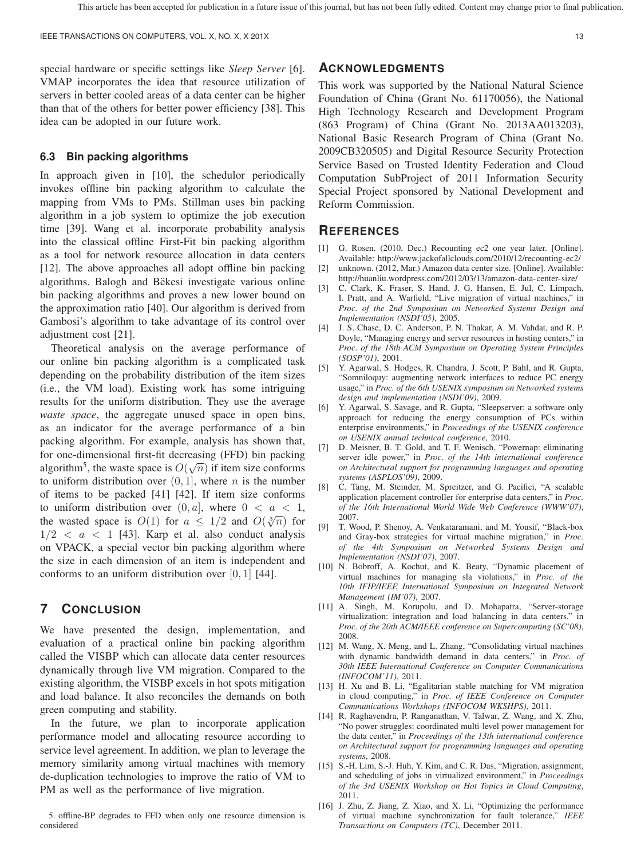special hardware or specific settings like *Sleep Server* [6]. VMAP incorporates the idea that resource utilization of servers in better cooled areas of a data center can be higher than that of the others for better power efficiency [38]. This idea can be adopted in our future work.

#### **6.3 Bin packing algorithms**

In approach given in [10], the schedulor periodically invokes offline bin packing algorithm to calculate the mapping from VMs to PMs. Stillman uses bin packing algorithm in a job system to optimize the job execution time [39]. Wang et al. incorporate probability analysis into the classical offline First-Fit bin packing algorithm as a tool for network resource allocation in data centers [12]. The above approaches all adopt offline bin packing algorithms. Balogh and Bëkesi investigate various online bin packing algorithms and proves a new lower bound on the approximation ratio [40]. Our algorithm is derived from Gambosi's algorithm to take advantage of its control over adjustment cost [21].

Theoretical analysis on the average performance of our online bin packing algorithm is a complicated task depending on the probability distribution of the item sizes (i.e., the VM load). Existing work has some intriguing results for the uniform distribution. They use the average *waste space*, the aggregate unused space in open bins, as an indicator for the average performance of a bin packing algorithm. For example, analysis has shown that, for one-dimensional first-fit decreasing (FFD) bin packing algorithm<sup>5</sup>, the waste space is  $O(\sqrt{n})$  if item size conforms<br>to uniform distribution over (0, 1), where *n* is the number to uniform distribution over  $(0, 1]$ , where *n* is the number of items to be packed [41] [42]. If item size conforms to uniform distribution over  $(0, a]$ , where  $0 < a < 1$ , the wasted space is  $O(1)$  for  $a \le 1/2$  and  $O(\sqrt[3]{n})$  for  $1/2 < a < 1$  [43]. Karp et al. also conduct analysis  $1/2 < a < 1$  [43]. Karp et al. also conduct analysis on VPACK, a special vector bin packing algorithm where the size in each dimension of an item is independent and conforms to an uniform distribution over  $[0, 1]$  [44].

# **7 CONCLUSION**

We have presented the design, implementation, and evaluation of a practical online bin packing algorithm called the VISBP which can allocate data center resources dynamically through live VM migration. Compared to the existing algorithm, the VISBP excels in hot spots mitigation and load balance. It also reconciles the demands on both green computing and stability.

In the future, we plan to incorporate application performance model and allocating resource according to service level agreement. In addition, we plan to leverage the memory similarity among virtual machines with memory de-duplication technologies to improve the ratio of VM to PM as well as the performance of live migration.

5. offline-BP degrades to FFD when only one resource dimension is considered

## **ACKNOWLEDGMENTS**

This work was supported by the National Natural Science Foundation of China (Grant No. 61170056), the National High Technology Research and Development Program (863 Program) of China (Grant No. 2013AA013203), National Basic Research Program of China (Grant No. 2009CB320505) and Digital Resource Security Protection Service Based on Trusted Identity Federation and Cloud Computation SubProject of 2011 Information Security Special Project sponsored by National Development and Reform Commission.

## **REFERENCES**

- G. Rosen. (2010, Dec.) Recounting ec2 one year later. [Online]. Available: http://www.jackofallclouds.com/2010/12/recounting-ec2/
- [2] unknown. (2012, Mar.) Amazon data center size. [Online]. Available: http://huanliu.wordpress.com/2012/03/13/amazon-data-center-size/
- [3] C. Clark, K. Fraser, S. Hand, J. G. Hansen, E. Jul, C. Limpach, I. Pratt, and A. Warfield, "Live migration of virtual machines," in *Proc. of the 2nd Symposium on Networked Systems Design and Implementation (NSDI'05)*, 2005.
- [4] J. S. Chase, D. C. Anderson, P. N. Thakar, A. M. Vahdat, and R. P. Doyle, "Managing energy and server resources in hosting centers," in *Proc. of the 18th ACM Symposium on Operating System Principles (SOSP'01)*, 2001.
- [5] Y. Agarwal, S. Hodges, R. Chandra, J. Scott, P. Bahl, and R. Gupta, "Somniloquy: augmenting network interfaces to reduce PC energy usage," in *Proc. of the 6th USENIX symposium on Networked systems design and implementation (NSDI'09)*, 2009.
- [6] Y. Agarwal, S. Savage, and R. Gupta, "Sleepserver: a software-only approach for reducing the energy consumption of PCs within enterprise environments," in *Proceedings of the USENIX conference on USENIX annual technical conference*, 2010.
- [7] D. Meisner, B. T. Gold, and T. F. Wenisch, "Powernap: eliminating server idle power," in *Proc. of the 14th international conference on Architectural support for programming languages and operating systems (ASPLOS'09)*, 2009.
- [8] C. Tang, M. Steinder, M. Spreitzer, and G. Pacifici, "A scalable application placement controller for enterprise data centers," in *Proc. of the 16th International World Wide Web Conference (WWW'07)*, 2007.
- [9] T. Wood, P. Shenoy, A. Venkataramani, and M. Yousif, "Black-box and Gray-box strategies for virtual machine migration," in *Proc. of the 4th Symposium on Networked Systems Design and Implementation (NSDI'07)*, 2007.
- [10] N. Bobroff, A. Kochut, and K. Beaty, "Dynamic placement of virtual machines for managing sla violations," in *Proc. of the 10th IFIP/IEEE International Symposium on Integrated Network Management (IM'07)*, 2007.
- [11] A. Singh, M. Korupolu, and D. Mohapatra, "Server-storage virtualization: integration and load balancing in data centers," in *Proc. of the 20th ACM/IEEE conference on Supercomputing (SC'08)*, 2008.
- [12] M. Wang, X. Meng, and L. Zhang, "Consolidating virtual machines with dynamic bandwidth demand in data centers," in *Proc. of 30th IEEE International Conference on Computer Communications (INFOCOM'11)*, 2011.
- [13] H. Xu and B. Li, "Egalitarian stable matching for VM migration in cloud computing," in *Proc. of IEEE Conference on Computer Communications Workshops (INFOCOM WKSHPS)*, 2011.
- [14] R. Raghavendra, P. Ranganathan, V. Talwar, Z. Wang, and X. Zhu, "No power struggles: coordinated multi-level power management for the data center," in *Proceedings of the 13th international conference on Architectural support for programming languages and operating systems*, 2008.
- [15] S.-H. Lim, S.-J. Huh, Y. Kim, and C. R. Das, "Migration, assignment, and scheduling of jobs in virtualized environment," in *Proceedings of the 3rd USENIX Workshop on Hot Topics in Cloud Computing*, 2011.
- [16] J. Zhu, Z. Jiang, Z. Xiao, and X. Li, "Optimizing the performance of virtual machine synchronization for fault tolerance," *IEEE Transactions on Computers (TC)*, December 2011.